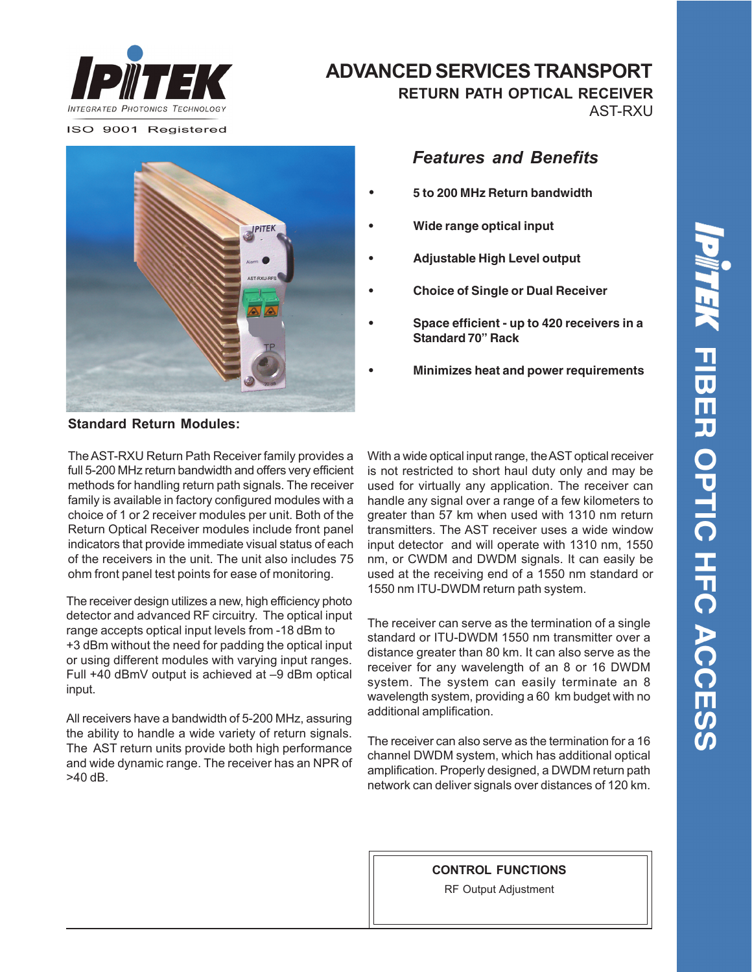

ISO 9001 Registered



## **ADVANCED SERVICES TRANSPORT**

**RETURN PATH OPTICAL RECEIVER**

AST-RXU

## *Features and Benefits*

- **• 5 to 200 MHz Return bandwidth**
- **Wide range optical input**
- **Adjustable High Level output**
- **Choice of Single or Dual Receiver**
- **Space efficient up to 420 receivers in a Standard 70" Rack**
- **Minimizes heat and power requirements**

**Standard Return Modules:**

The AST-RXU Return Path Receiver family provides a full 5-200 MHz return bandwidth and offers very efficient methods for handling return path signals. The receiver family is available in factory configured modules with a choice of 1 or 2 receiver modules per unit. Both of the Return Optical Receiver modules include front panel indicators that provide immediate visual status of each of the receivers in the unit. The unit also includes 75 ohm front panel test points for ease of monitoring.

The receiver design utilizes a new, high efficiency photo detector and advanced RF circuitry. The optical input range accepts optical input levels from -18 dBm to +3 dBm without the need for padding the optical input or using different modules with varying input ranges. Full +40 dBmV output is achieved at –9 dBm optical input.

All receivers have a bandwidth of 5-200 MHz, assuring the ability to handle a wide variety of return signals. The AST return units provide both high performance and wide dynamic range. The receiver has an NPR of >40 dB.

With a wide optical input range, the AST optical receiver is not restricted to short haul duty only and may be used for virtually any application. The receiver can handle any signal over a range of a few kilometers to greater than 57 km when used with 1310 nm return transmitters. The AST receiver uses a wide window input detector and will operate with 1310 nm, 1550 nm, or CWDM and DWDM signals. It can easily be used at the receiving end of a 1550 nm standard or 1550 nm ITU-DWDM return path system.

The receiver can serve as the termination of a single standard or ITU-DWDM 1550 nm transmitter over a distance greater than 80 km. It can also serve as the receiver for any wavelength of an 8 or 16 DWDM system. The system can easily terminate an 8 wavelength system, providing a 60 km budget with no additional amplification.

The receiver can also serve as the termination for a 16 channel DWDM system, which has additional optical amplification. Properly designed, a DWDM return path network can deliver signals over distances of 120 km.

**CONTROL FUNCTIONS**

RF Output Adjustment